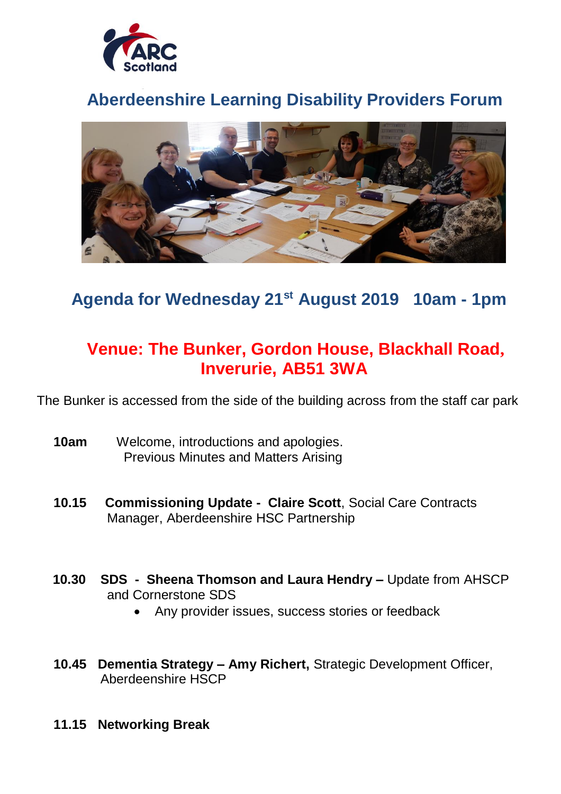

# **Aberdeenshire Learning Disability Providers Forum**



## **Agenda for Wednesday 21st August 2019 10am - 1pm**

## **Venue: The Bunker, Gordon House, Blackhall Road, Inverurie, AB51 3WA**

The Bunker is accessed from the side of the building across from the staff car park

- **10am** Welcome, introductions and apologies. Previous Minutes and Matters Arising
- **10.15 Commissioning Update - Claire Scott**, Social Care Contracts Manager, Aberdeenshire HSC Partnership
- **10.30 SDS Sheena Thomson and Laura Hendry –** Update from AHSCP and Cornerstone SDS
	- Any provider issues, success stories or feedback
- **10.45 Dementia Strategy – Amy Richert,** Strategic Development Officer, Aberdeenshire HSCP
- **11.15 Networking Break**